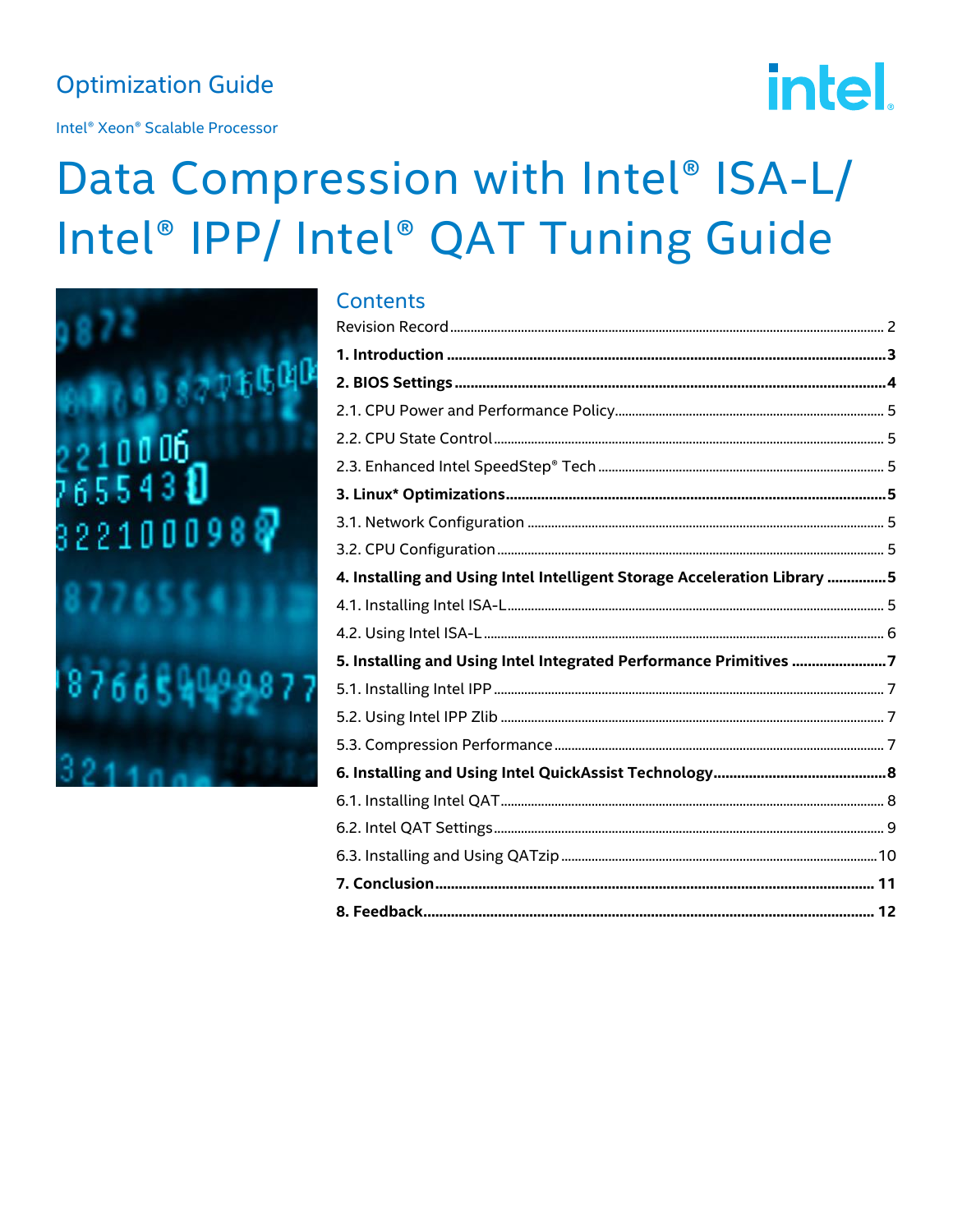## **Optimization Guide**

Intel<sup>®</sup> Xeon<sup>®</sup> Scalable Processor

# **intel**

## Data Compression with Intel® ISA-L/ Intel® IPP/ Intel® QAT Tuning Guide

 $\sim$ ntonto



| CONTENTS                                                                 |        |
|--------------------------------------------------------------------------|--------|
|                                                                          |        |
|                                                                          |        |
|                                                                          |        |
|                                                                          |        |
|                                                                          |        |
|                                                                          |        |
|                                                                          |        |
|                                                                          |        |
|                                                                          |        |
| 4. Installing and Using Intel Intelligent Storage Acceleration Library 5 |        |
|                                                                          |        |
|                                                                          |        |
| 5. Installing and Using Intel Integrated Performance Primitives 7        |        |
|                                                                          |        |
|                                                                          |        |
|                                                                          |        |
|                                                                          |        |
|                                                                          |        |
|                                                                          |        |
|                                                                          |        |
|                                                                          |        |
| 8. Feedback                                                              | ……. 12 |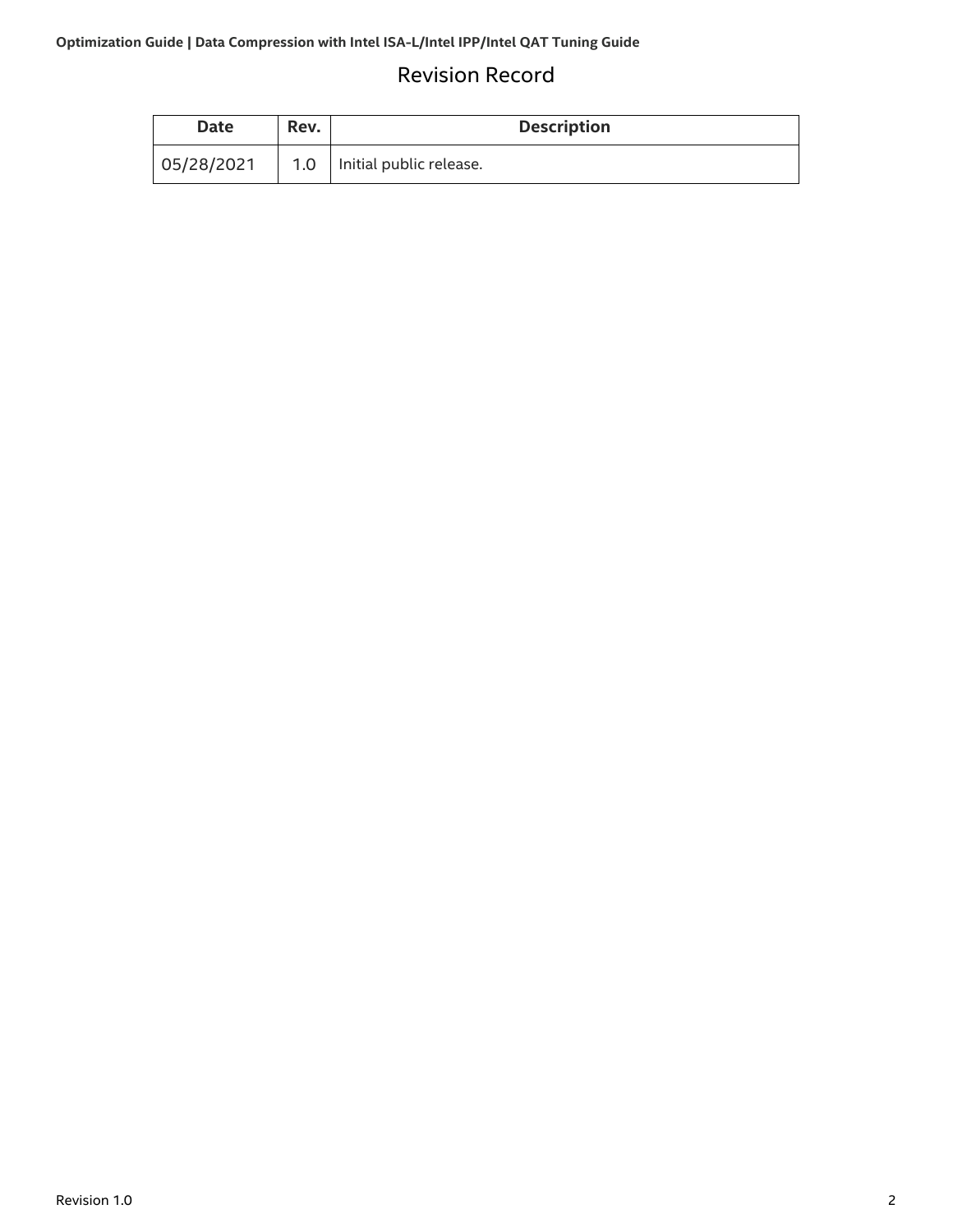## Revision Record

<span id="page-1-0"></span>

| Date       | Rev. | <b>Description</b>            |
|------------|------|-------------------------------|
| 05/28/2021 |      | 1.0   Initial public release. |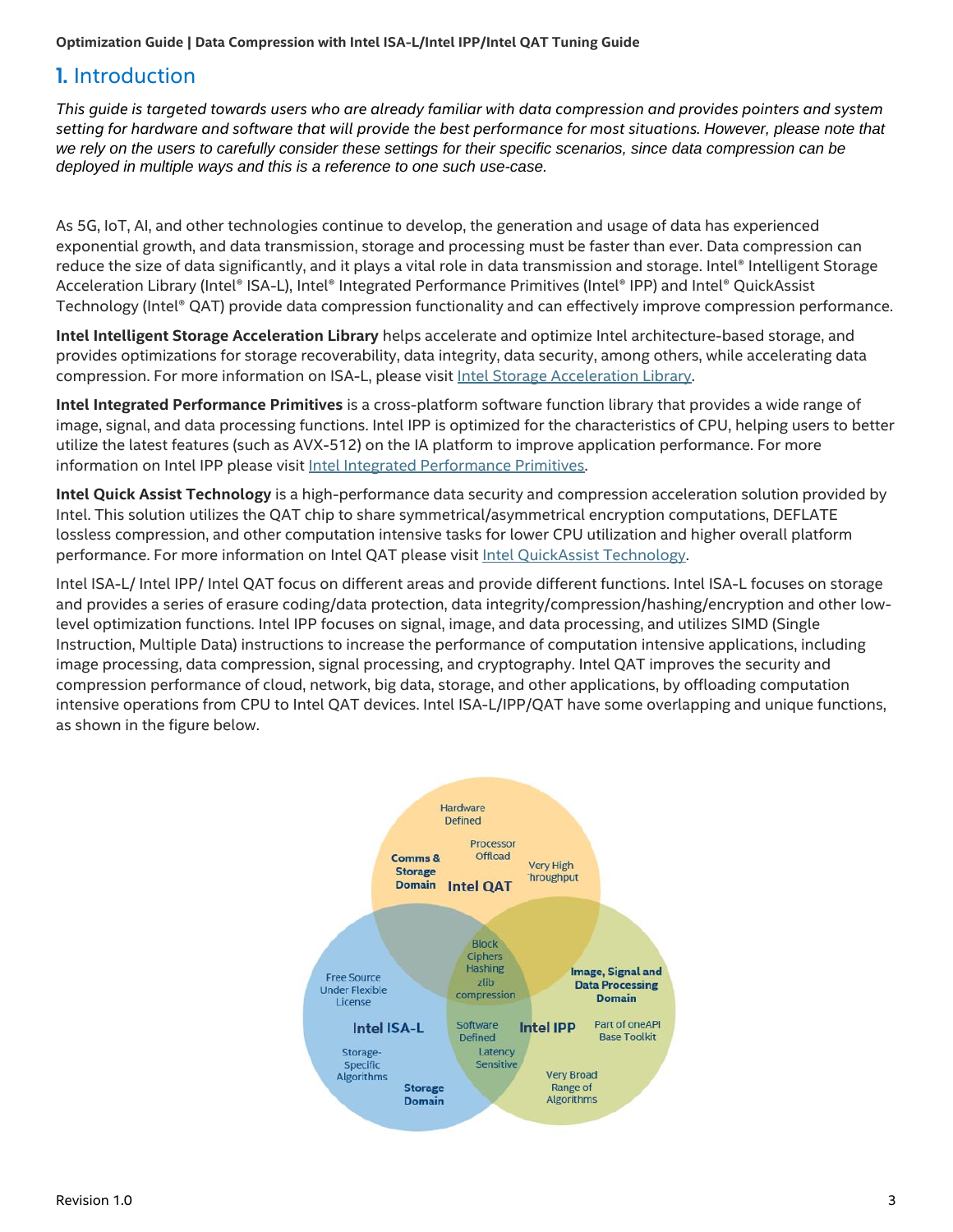## <span id="page-2-0"></span>1. Introduction

*This guide is targeted towards users who are already familiar with data compression and provides pointers and system setting for hardware and software that will provide the best performance for most situations. However, please note that*  we rely on the users to carefully consider these settings for their specific scenarios, since data compression can be *deployed in multiple ways and this is a reference to one such use-case.*

As 5G, IoT, AI, and other technologies continue to develop, the generation and usage of data has experienced exponential growth, and data transmission, storage and processing must be faster than ever. Data compression can reduce the size of data significantly, and it plays a vital role in data transmission and storage. Intel® Intelligent Storage Acceleration Library (Intel® ISA-L), Intel® Integrated Performance Primitives (Intel® IPP) and Intel® QuickAssist Technology (Intel® QAT) provide data compression functionality and can effectively improve compression performance.

**Intel Intelligent Storage Acceleration Library** helps accelerate and optimize Intel architecture-based storage, and provides optimizations for storage recoverability, data integrity, data security, among others, while accelerating data compression. For more information on ISA-L, please visit [Intel Storage Acceleration Library.](https://01.org/intel®-storage-acceleration-library-open-source-version)

**Intel Integrated Performance Primitives** is a cross-platform software function library that provides a wide range of image, signal, and data processing functions. Intel IPP is optimized for the characteristics of CPU, helping users to better utilize the latest features (such as AVX-512) on the IA platform to improve application performance. For more information on Intel IPP please visit [Intel Integrated Performance Primitives.](https://software.intel.com/content/www/us/en/develop/tools/oneapi/components/ipp.html)

**Intel Quick Assist Technology** is a high-performance data security and compression acceleration solution provided by Intel. This solution utilizes the QAT chip to share symmetrical/asymmetrical encryption computations, DEFLATE lossless compression, and other computation intensive tasks for lower CPU utilization and higher overall platform performance. For more information on Intel QAT please visit *Intel QuickAssist Technology*.

Intel ISA-L/ Intel IPP/ Intel QAT focus on different areas and provide different functions. Intel ISA-L focuses on storage and provides a series of erasure coding/data protection, data integrity/compression/hashing/encryption and other lowlevel optimization functions. Intel IPP focuses on signal, image, and data processing, and utilizes SIMD (Single Instruction, Multiple Data) instructions to increase the performance of computation intensive applications, including image processing, data compression, signal processing, and cryptography. Intel QAT improves the security and compression performance of cloud, network, big data, storage, and other applications, by offloading computation intensive operations from CPU to Intel QAT devices. Intel ISA-L/IPP/QAT have some overlapping and unique functions, as shown in the figure below.

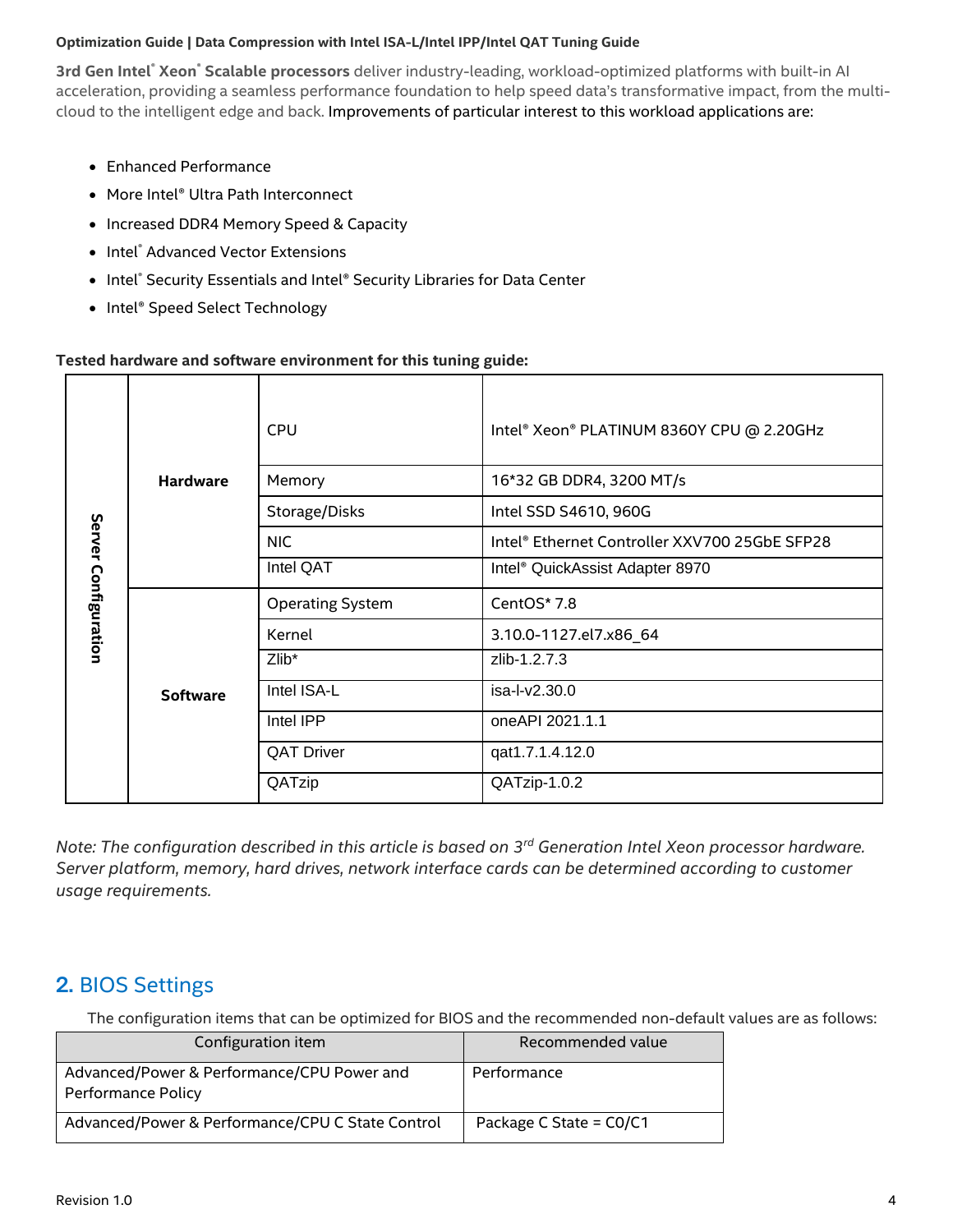**3rd Gen Intel**® **Xeon**® **Scalable processors** deliver industry-leading, workload-optimized platforms with built-in AI acceleration, providing a seamless performance foundation to help speed data's transformative impact, from the multicloud to the intelligent edge and back. Improvements of particular interest to this workload applications are:

- Enhanced Performance
- More Intel® Ultra Path Interconnect
- Increased DDR4 Memory Speed & Capacity
- Intel® Advanced Vector Extensions
- Intel® Security Essentials and Intel® Security Libraries for Data Center
- Intel® Speed Select Technology

#### **Tested hardware and software environment for this tuning guide:**

| <b>Hardware</b><br>Server Configuration<br><b>Software</b> |          | <b>CPU</b>              | Intel® Xeon® PLATINUM 8360Y CPU @ 2.20GHz     |
|------------------------------------------------------------|----------|-------------------------|-----------------------------------------------|
|                                                            |          | Memory                  | 16*32 GB DDR4, 3200 MT/s                      |
|                                                            |          | Storage/Disks           | Intel SSD S4610, 960G                         |
|                                                            |          | <b>NIC</b>              | Intel® Ethernet Controller XXV700 25GbE SFP28 |
|                                                            |          | Intel QAT               | Intel <sup>®</sup> QuickAssist Adapter 8970   |
|                                                            |          | <b>Operating System</b> | CentOS* 7.8                                   |
|                                                            |          | Kernel                  | 3.10.0-1127.el7.x86_64                        |
|                                                            | $Zlib^*$ | zlib-1.2.7.3            |                                               |
|                                                            |          | Intel ISA-L             | isa-l-v2.30.0                                 |
|                                                            |          | Intel IPP               | one API 2021.1.1                              |
|                                                            |          | <b>QAT Driver</b>       | qat1.7.1.4.12.0                               |
|                                                            |          | QATzip                  | QATzip-1.0.2                                  |

*Note: The configuration described in this article is based on 3 rd Generation Intel Xeon processor hardware. Server platform, memory, hard drives, network interface cards can be determined according to customer usage requirements.*

## <span id="page-3-0"></span>2. BIOS Settings

The configuration items that can be optimized for BIOS and the recommended non-default values are as follows:

| Configuration item                                               | Recommended value         |
|------------------------------------------------------------------|---------------------------|
| Advanced/Power & Performance/CPU Power and<br>Performance Policy | Performance               |
| Advanced/Power & Performance/CPU C State Control                 | Package C State = $CO/C1$ |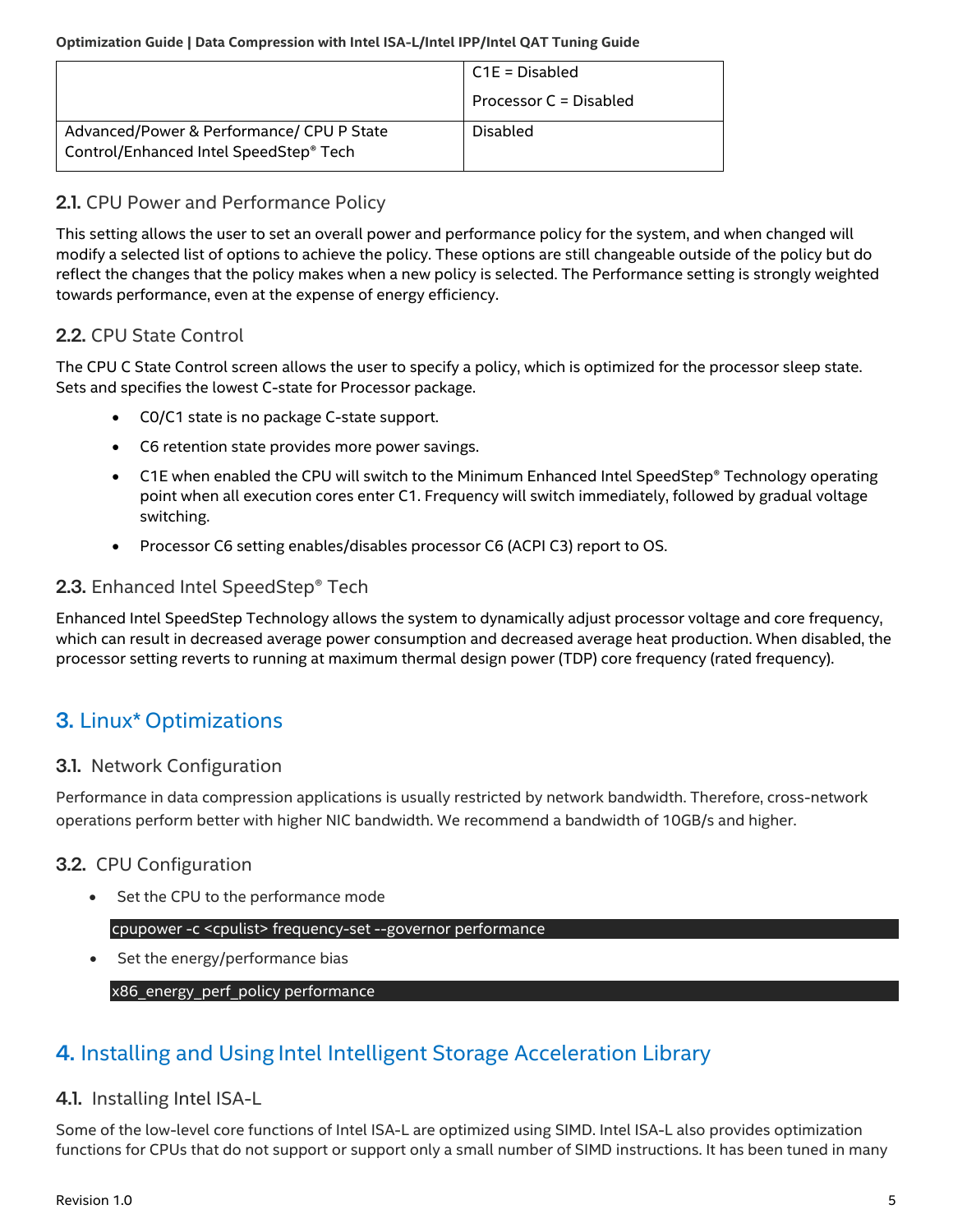|                                                                                     | C1E = Disabled         |
|-------------------------------------------------------------------------------------|------------------------|
|                                                                                     | Processor C = Disabled |
| Advanced/Power & Performance/ CPU P State<br>Control/Enhanced Intel SpeedStep® Tech | Disabled               |

#### <span id="page-4-0"></span>2.1. CPU Power and Performance Policy

This setting allows the user to set an overall power and performance policy for the system, and when changed will modify a selected list of options to achieve the policy. These options are still changeable outside of the policy but do reflect the changes that the policy makes when a new policy is selected. The Performance setting is strongly weighted towards performance, even at the expense of energy efficiency.

### <span id="page-4-1"></span>2.2. CPU State Control

The CPU C State Control screen allows the user to specify a policy, which is optimized for the processor sleep state. Sets and specifies the lowest C-state for Processor package.

- C0/C1 state is no package C-state support.
- C6 retention state provides more power savings.
- C1E when enabled the CPU will switch to the Minimum Enhanced Intel SpeedStep® Technology operating point when all execution cores enter C1. Frequency will switch immediately, followed by gradual voltage switching.
- Processor C6 setting enables/disables processor C6 (ACPI C3) report to OS.

#### <span id="page-4-2"></span>2.3. Enhanced Intel SpeedStep® Tech

Enhanced Intel SpeedStep Technology allows the system to dynamically adjust processor voltage and core frequency, which can result in decreased average power consumption and decreased average heat production. When disabled, the processor setting reverts to running at maximum thermal design power (TDP) core frequency (rated frequency).

## <span id="page-4-3"></span>3. Linux\* Optimizations

#### <span id="page-4-4"></span>3.1. Network Configuration

Performance in data compression applications is usually restricted by network bandwidth. Therefore, cross-network operations perform better with higher NIC bandwidth. We recommend a bandwidth of 10GB/s and higher.

#### <span id="page-4-5"></span>3.2. CPU Configuration

• Set the CPU to the performance mode

#### cpupower -c <cpulist> frequency-set --governor performance

• Set the energy/performance bias

#### x86\_energy\_perf\_policy performance

## <span id="page-4-6"></span>4. Installing and Using Intel Intelligent Storage Acceleration Library

#### <span id="page-4-7"></span>4.1. Installing Intel ISA-L

Some of the low-level core functions of Intel ISA-L are optimized using SIMD. Intel ISA-L also provides optimization functions for CPUs that do not support or support only a small number of SIMD instructions. It has been tuned in many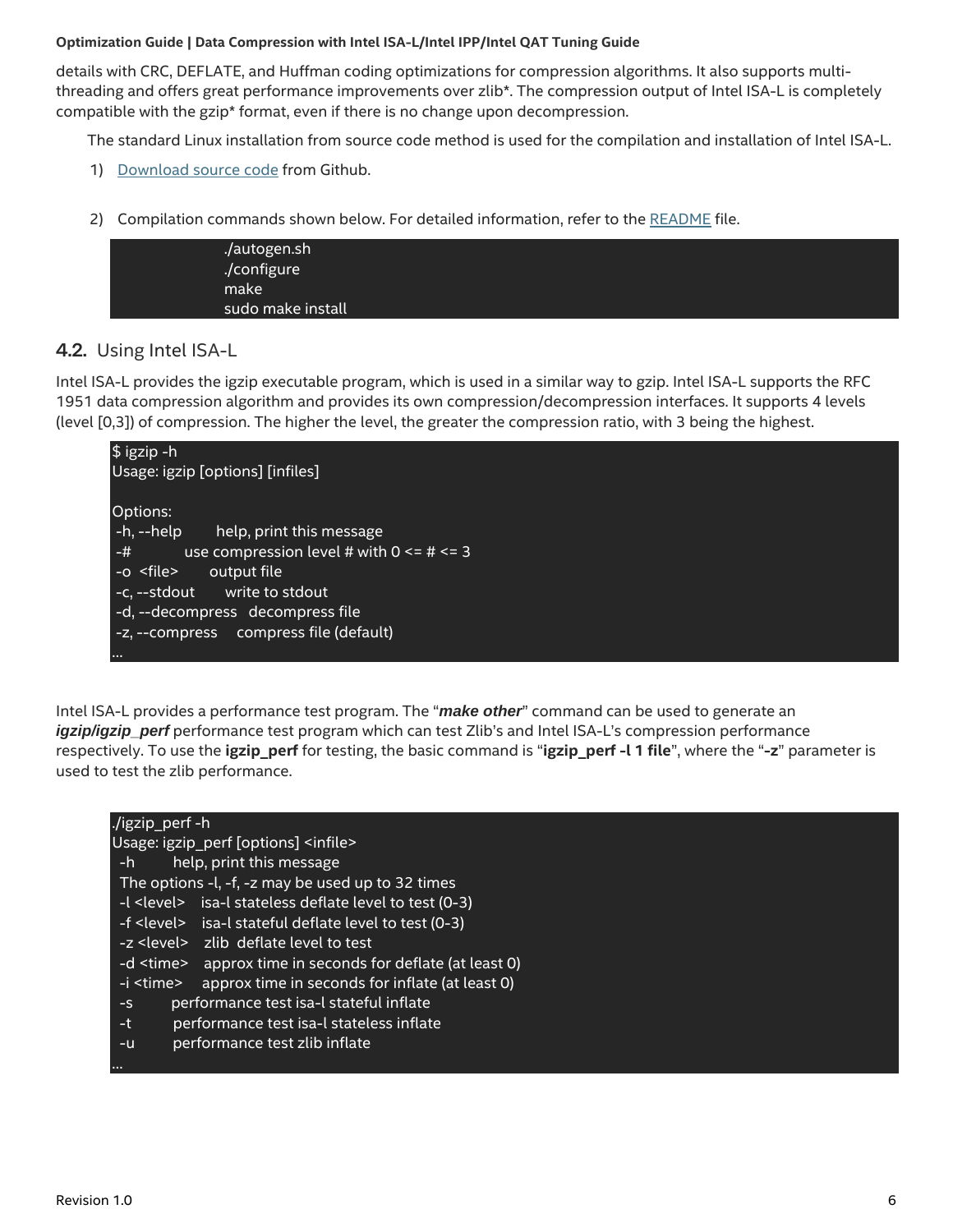details with CRC, DEFLATE, and Huffman coding optimizations for compression algorithms. It also supports multithreading and offers great performance improvements over zlib\*. The compression output of Intel ISA-L is completely compatible with the gzip\* format, even if there is no change upon decompression.

The standard Linux installation from source code method is used for the compilation and installation of Intel ISA-L.

- 1) [Download source code](https://github.com/intel/isa-l/blob/master/README.md) from Github.
- 2) Compilation commands shown below. For detailed information, refer to th[e README](https://github.com/intel/isa-l/blob/master/README.md) file.

| ./autogen.sh<br>./configure |
|-----------------------------|
| make<br>sudo make install   |

#### <span id="page-5-0"></span>4.2. Using Intel ISA-L

Intel ISA-L provides the igzip executable program, which is used in a similar way to gzip. Intel ISA-L supports the RFC 1951 data compression algorithm and provides its own compression/decompression interfaces. It supports 4 levels (level [0,3]) of compression. The higher the level, the greater the compression ratio, with 3 being the highest.

| \$igzip-h                                               |
|---------------------------------------------------------|
| Usage: igzip [options] [infiles]                        |
|                                                         |
| Options:                                                |
| -h, --help<br>help, print this message                  |
| use compression level # with $0 \leq t \leq 3$<br>$-$ # |
| -o <file><br/>output file</file>                        |
| -c, --stdout write to stdout                            |
| -d, --decompress decompress file                        |
| -z, --compress compress file (default)                  |
|                                                         |

Intel ISA-L provides a performance test program. The "*make other*" command can be used to generate an *igzip/igzip\_perf* performance test program which can test Zlib's and Intel ISA-L's compression performance respectively. To use the **igzip\_perf** for testing, the basic command is "**igzip\_perf -l 1 file**", where the "**-z**" parameter is used to test the zlib performance.

| ./igzip_perf -h                                                     |
|---------------------------------------------------------------------|
| Usage: igzip perf [options] <infile></infile>                       |
| help, print this message<br>-h                                      |
| The options -l, -f, -z may be used up to 32 times                   |
| -I <level> isa-I stateless deflate level to test (0-3)</level>      |
| -f <level> isa-l stateful deflate level to test (0-3)</level>       |
| -z <level> zlib deflate level to test</level>                       |
| -d <time> approx time in seconds for deflate (at least 0)</time>    |
| approx time in seconds for inflate (at least 0)<br>-i <time></time> |
| performance test isa-I stateful inflate<br>$-S$                     |
| performance test isa-I stateless inflate<br>-t                      |
| performance test zlib inflate<br>$-u$                               |
|                                                                     |
|                                                                     |
|                                                                     |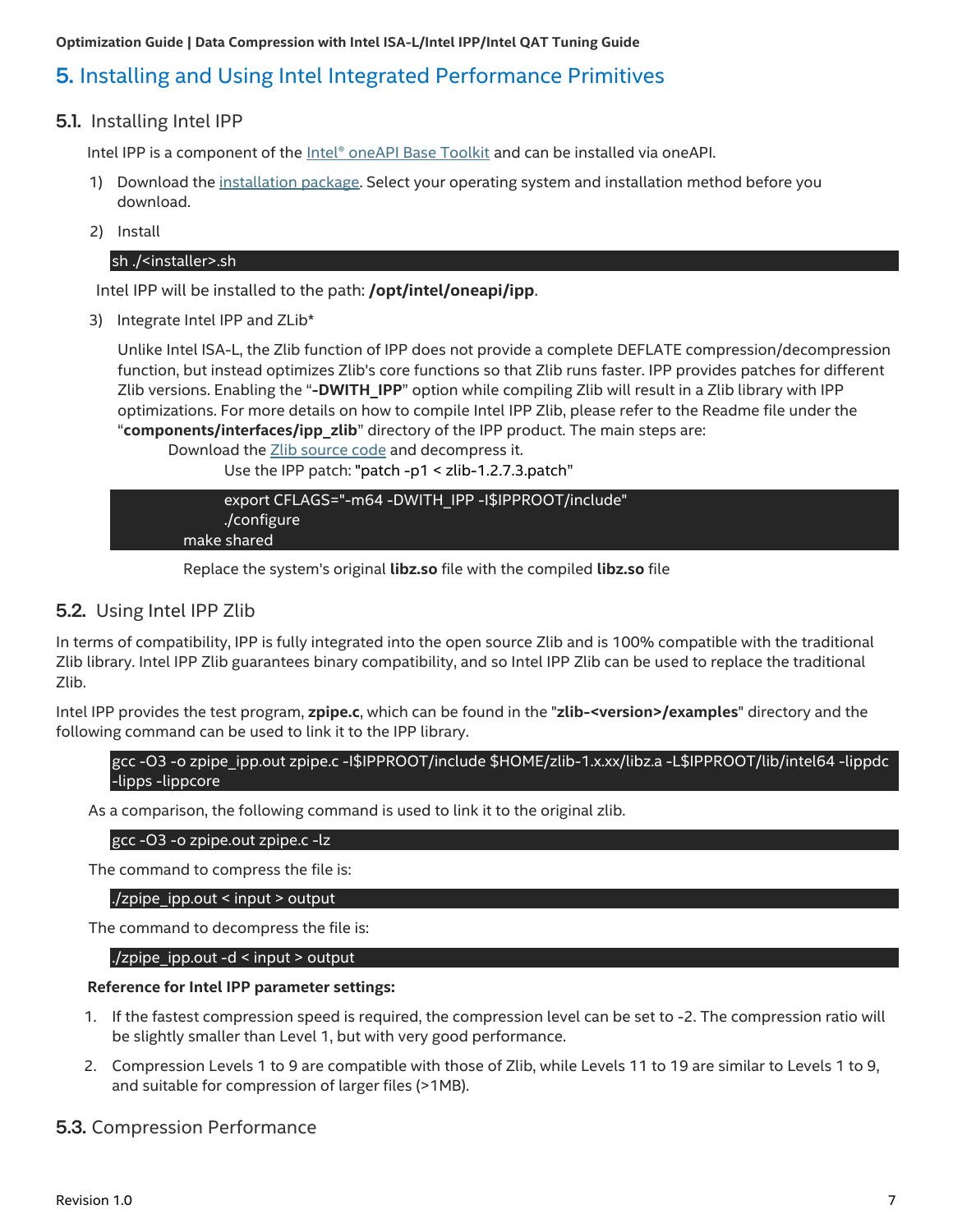## <span id="page-6-0"></span>5. Installing and Using Intel Integrated Performance Primitives

#### <span id="page-6-1"></span>5.1. Installing Intel IPP

Intel IPP is a component of the [Intel® oneAPI Base Toolkit](https://software.intel.com/content/www/us/en/develop/tools/oneapi/base-toolkit.html) and can be installed via oneAPI.

- 1) Download the [installation package.](https://software.intel.com/content/www/us/en/develop/tools/oneapi/base-toolkit/download.html) Select your operating system and installation method before you download.
- 2) Install

#### sh ./<installer>.sh

Intel IPP will be installed to the path: **/opt/intel/oneapi/ipp**.

3) Integrate Intel IPP and ZLib\*

Unlike Intel ISA-L, the Zlib function of IPP does not provide a complete DEFLATE compression/decompression function, but instead optimizes Zlib's core functions so that Zlib runs faster. IPP provides patches for different Zlib versions. Enabling the "**-DWITH\_IPP**" option while compiling Zlib will result in a Zlib library with IPP optimizations. For more details on how to compile Intel IPP Zlib, please refer to the Readme file under the "**components/interfaces/ipp\_zlib**" directory of the IPP product. The main steps are:

Download th[e Zlib source code](https://zlib.net/) and decompress it. Use the IPP patch: "patch -p1 < zlib-1.2.7.3.patch"

export CFLAGS="-m64 -DWITH\_IPP -I\$IPPROOT/include" ./configure make shared

Replace the system's original **libz.so** file with the compiled **libz.so** file

#### <span id="page-6-2"></span>5.2. Using Intel IPP Zlib

In terms of compatibility, IPP is fully integrated into the open source Zlib and is 100% compatible with the traditional Zlib library. Intel IPP Zlib guarantees binary compatibility, and so Intel IPP Zlib can be used to replace the traditional Zlib.

Intel IPP provides the test program, **zpipe.c**, which can be found in the "**zlib-<version>/examples**" directory and the following command can be used to link it to the IPP library.

#### gcc -O3 -o zpipe\_ipp.out zpipe.c -I\$IPPROOT/include \$HOME/zlib-1.x.xx/libz.a -L\$IPPROOT/lib/intel64 -lippdc -lipps -lippcore

As a comparison, the following command is used to link it to the original zlib.

#### gcc -O3 -o zpipe.out zpipe.c -lz

The command to compress the file is:

./zpipe\_ipp.out < input > output

The command to decompress the file is:

./zpipe\_ipp.out -d < input > output

#### **Reference for Intel IPP parameter settings:**

- 1. If the fastest compression speed is required, the compression level can be set to -2. The compression ratio will be slightly smaller than Level 1, but with very good performance.
- 2. Compression Levels 1 to 9 are compatible with those of Zlib, while Levels 11 to 19 are similar to Levels 1 to 9, and suitable for compression of larger files (>1MB).

#### <span id="page-6-3"></span>5.3. Compression Performance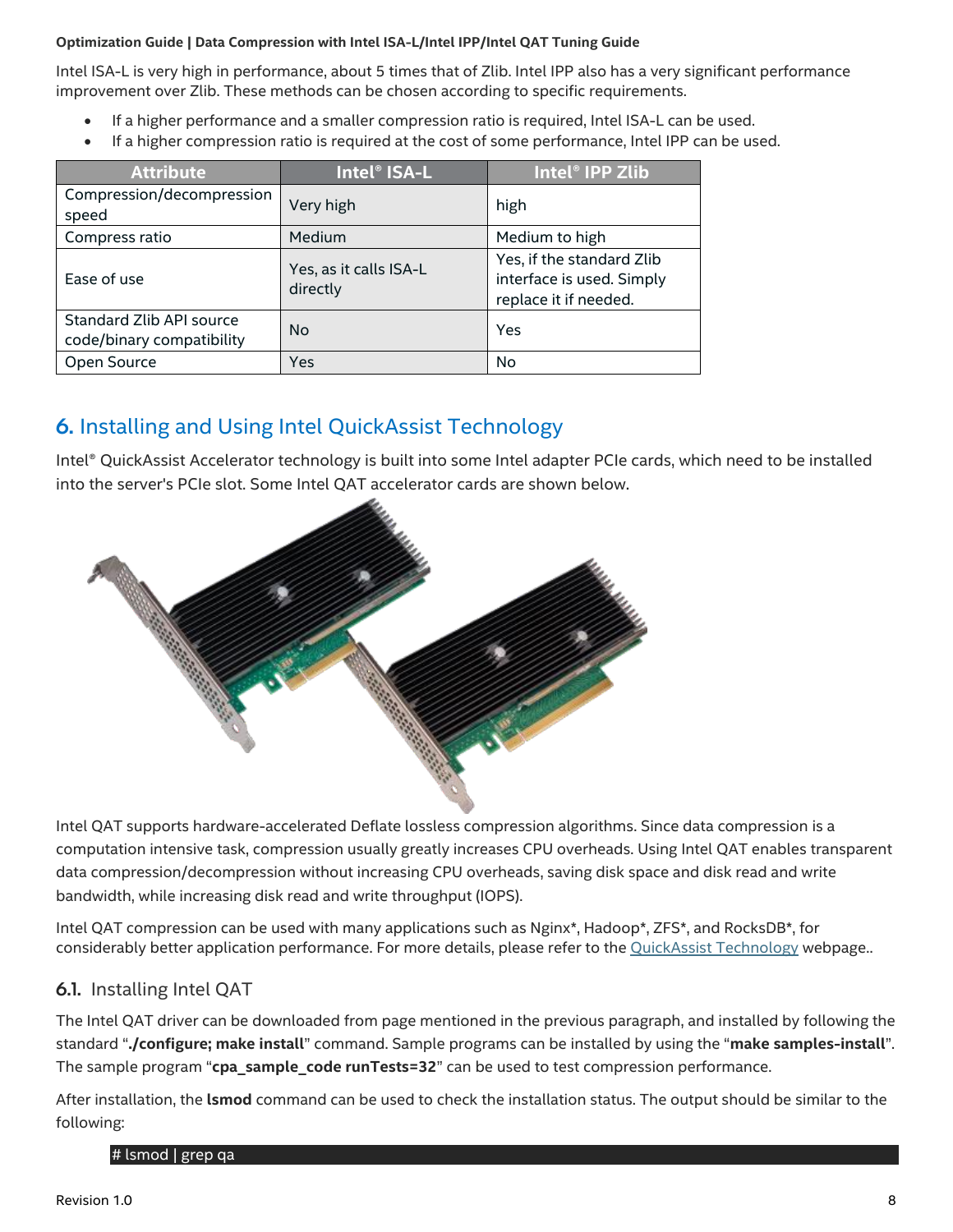Intel ISA-L is very high in performance, about 5 times that of Zlib. Intel IPP also has a very significant performance improvement over Zlib. These methods can be chosen according to specific requirements.

- If a higher performance and a smaller compression ratio is required, Intel ISA-L can be used.
- If a higher compression ratio is required at the cost of some performance, Intel IPP can be used.

| <b>Attribute</b>                                      | Intel® ISA-L                       | Intel <sup>®</sup> IPP Zlib                                                     |
|-------------------------------------------------------|------------------------------------|---------------------------------------------------------------------------------|
| Compression/decompression<br>speed                    | Very high                          | high                                                                            |
| Compress ratio                                        | Medium                             | Medium to high                                                                  |
| Ease of use                                           | Yes, as it calls ISA-L<br>directly | Yes, if the standard Zlib<br>interface is used. Simply<br>replace it if needed. |
| Standard Zlib API source<br>code/binary compatibility | <b>No</b>                          | Yes                                                                             |
| Open Source                                           | Yes                                | No                                                                              |

## <span id="page-7-0"></span>6. Installing and Using Intel QuickAssist Technology

Intel® QuickAssist Accelerator technology is built into some Intel adapter PCIe cards, which need to be installed into the server's PCIe slot. Some Intel QAT accelerator cards are shown below.



Intel QAT supports hardware-accelerated Deflate lossless compression algorithms. Since data compression is a computation intensive task, compression usually greatly increases CPU overheads. Using Intel QAT enables transparent data compression/decompression without increasing CPU overheads, saving disk space and disk read and write bandwidth, while increasing disk read and write throughput (IOPS).

Intel QAT compression can be used with many applications such as Nginx\*, Hadoop\*, ZFS\*, and RocksDB\*, for considerably better application performance. For more details, please refer to the [QuickAssist Technology](https://01.org/intel-quickassist-technology) webpage..

#### <span id="page-7-1"></span>6.1. Installing Intel QAT

The Intel QAT driver can be downloaded from page mentioned in the previous paragraph, and installed by following the standard "**./configure; make install**" command. Sample programs can be installed by using the "**make samples-install**". The sample program "cpa\_sample\_code runTests=32" can be used to test compression performance.

After installation, the **lsmod** command can be used to check the installation status. The output should be similar to the following:

#### # lsmod | grep qa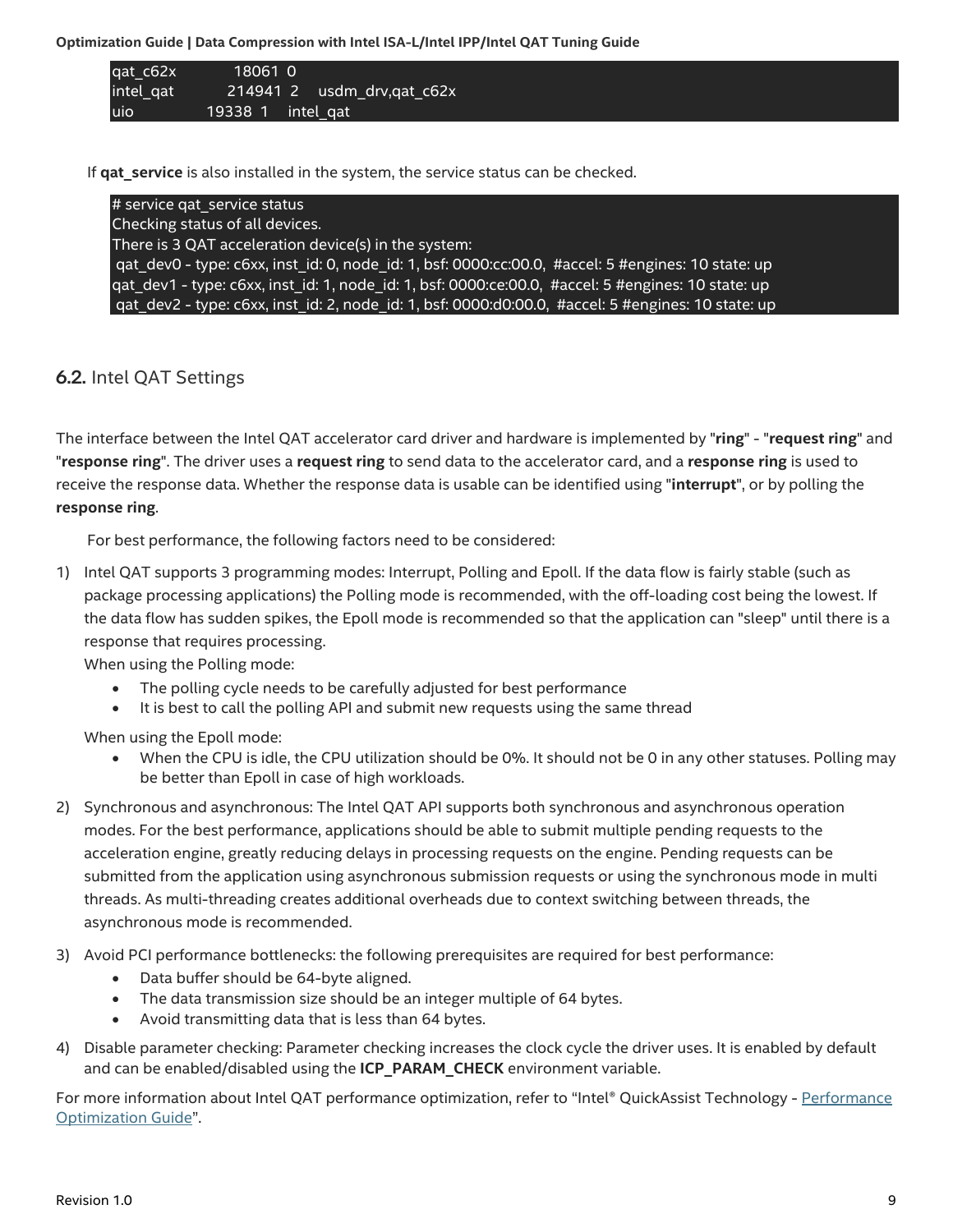| qat_c62x  | 18061 0                |                               |
|-----------|------------------------|-------------------------------|
| intel gat |                        | $214941$ 2 usdm_drv, gat_c62x |
| uio       | $19338$ 1 $intel_q$ at |                               |

If **qat\_service** is also installed in the system, the service status can be checked.

| # service gat service status                                                                                   |
|----------------------------------------------------------------------------------------------------------------|
| Checking status of all devices.                                                                                |
| There is 3 QAT acceleration device(s) in the system:                                                           |
| gat dev0 - type: c6xx, inst id: 0, node id: 1, bsf: 0000:cc:00.0, #accel: 5 #engines: 10 state: up             |
| qat_dev1 - type: c6xx, inst_id: 1, node_id: 1, bsf: 0000:ce:00.0, #accel: 5 #engines: 10 state: up             |
| gat dev2 - type: c6xx, inst id: 2, node id: 1, bsf: 0000:d0:00.0, #accel: $\frac{1}{2}$ #engines: 10 state: up |

#### <span id="page-8-0"></span>6.2. Intel QAT Settings

The interface between the Intel QAT accelerator card driver and hardware is implemented by "**ring**" - "**request ring**" and "**response ring**". The driver uses a **request ring** to send data to the accelerator card, and a **response ring** is used to receive the response data. Whether the response data is usable can be identified using "**interrupt**", or by polling the **response ring**.

For best performance, the following factors need to be considered:

1) Intel QAT supports 3 programming modes: Interrupt, Polling and Epoll. If the data flow is fairly stable (such as package processing applications) the Polling mode is recommended, with the off-loading cost being the lowest. If the data flow has sudden spikes, the Epoll mode is recommended so that the application can "sleep" until there is a response that requires processing.

When using the Polling mode:

- The polling cycle needs to be carefully adjusted for best performance
- It is best to call the polling API and submit new requests using the same thread

When using the Epoll mode:

- When the CPU is idle, the CPU utilization should be 0%. It should not be 0 in any other statuses. Polling may be better than Epoll in case of high workloads.
- 2) Synchronous and asynchronous: The Intel QAT API supports both synchronous and asynchronous operation modes. For the best performance, applications should be able to submit multiple pending requests to the acceleration engine, greatly reducing delays in processing requests on the engine. Pending requests can be submitted from the application using asynchronous submission requests or using the synchronous mode in multi threads. As multi-threading creates additional overheads due to context switching between threads, the asynchronous mode is recommended.
- 3) Avoid PCI performance bottlenecks: the following prerequisites are required for best performance:
	- Data buffer should be 64-byte aligned.
	- The data transmission size should be an integer multiple of 64 bytes.
	- Avoid transmitting data that is less than 64 bytes.
- 4) Disable parameter checking: Parameter checking increases the clock cycle the driver uses. It is enabled by default and can be enabled/disabled using the **ICP\_PARAM\_CHECK** environment variable.

For more information about Intel QAT performance optimization, refer to "Intel® QuickAssist Technology - Performance [Optimization Guide](https://01.org/sites/default/files/downloads/330687qatperformanceoptimizationguiderev007us.pdf)".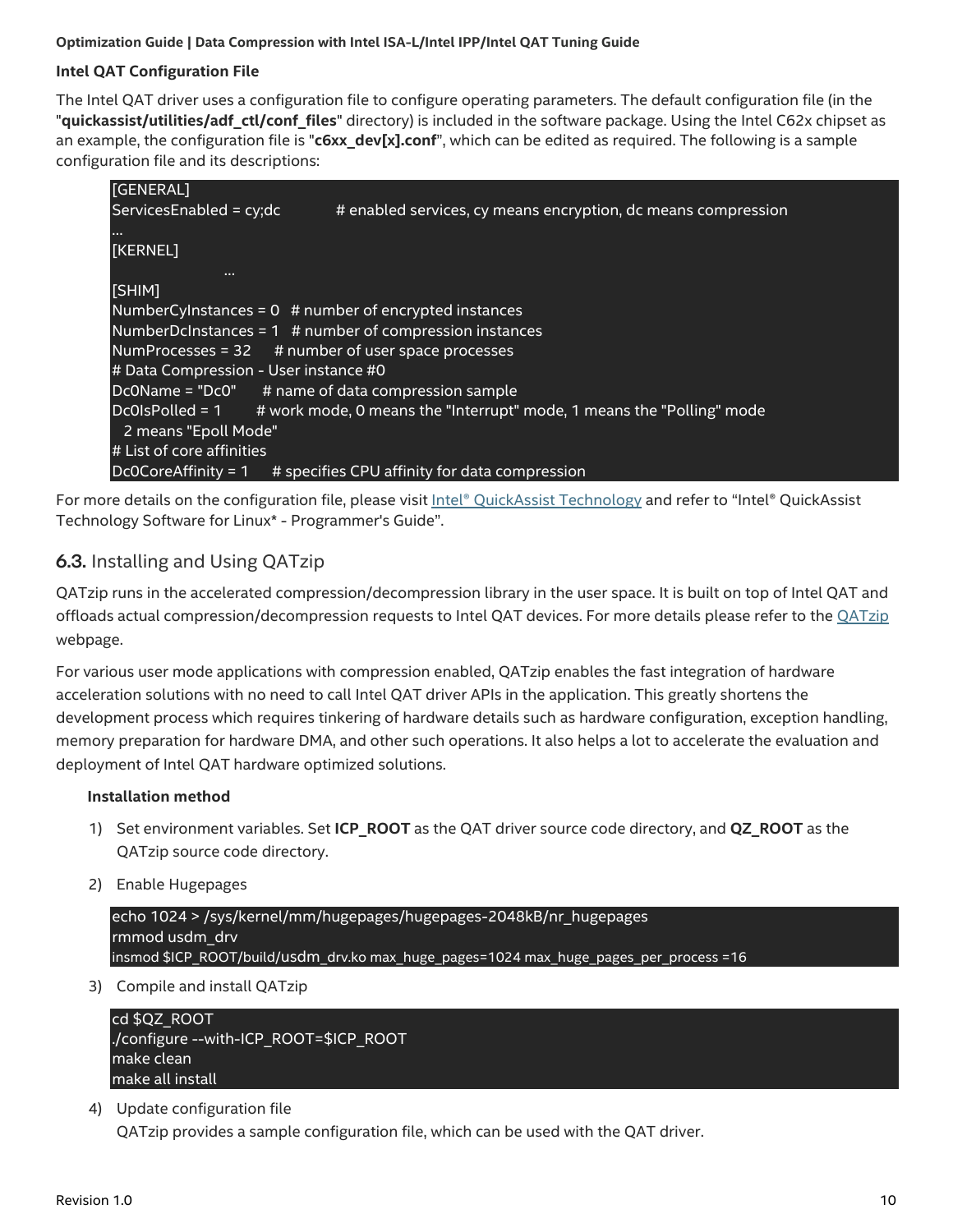#### **Intel QAT Configuration File**

The Intel QAT driver uses a configuration file to configure operating parameters. The default configuration file (in the "**quickassist/utilities/adf\_ctl/conf\_files**" directory) is included in the software package. Using the Intel C62x chipset as an example, the configuration file is "**c6xx\_dev[x].conf**", which can be edited as required. The following is a sample configuration file and its descriptions:

| [GENERAL]                             |                                                                       |
|---------------------------------------|-----------------------------------------------------------------------|
| Services Enabled = $cy;dc$            | # enabled services, cy means encryption, dc means compression         |
|                                       |                                                                       |
| [KERNEL]                              |                                                                       |
| .                                     |                                                                       |
| [SHIM]                                |                                                                       |
|                                       | NumberCyInstances = $0$ # number of encrypted instances               |
|                                       | NumberDcInstances = $1$ # number of compression instances             |
|                                       | NumProcesses = $32$ # number of user space processes                  |
| # Data Compression - User instance #0 |                                                                       |
|                                       | Dc0Name = "Dc0" # name of data compression sample                     |
| Dc0IsPolled = 1                       | # work mode, 0 means the "Interrupt" mode, 1 means the "Polling" mode |
| 2 means "Epoll Mode"                  |                                                                       |
| # List of core affinities             |                                                                       |
| Dc0CoreAffinity = 1                   | # specifies CPU affinity for data compression                         |

For more details on the configuration file, please visit *Intel® QuickAssist Technology* and refer to "Intel® QuickAssist Technology Software for Linux\* - Programmer's Guide".

#### <span id="page-9-0"></span>6.3. Installing and Using QATzip

QATzip runs in the accelerated compression/decompression library in the user space. It is built on top of Intel QAT and offloads actual compression/decompression requests to Intel QAT devices. For more details please refer to the *QATzip* webpage.

For various user mode applications with compression enabled, QATzip enables the fast integration of hardware acceleration solutions with no need to call Intel QAT driver APIs in the application. This greatly shortens the development process which requires tinkering of hardware details such as hardware configuration, exception handling, memory preparation for hardware DMA, and other such operations. It also helps a lot to accelerate the evaluation and deployment of Intel QAT hardware optimized solutions.

#### **Installation method**

- 1) Set environment variables. Set **ICP\_ROOT** as the QAT driver source code directory, and **QZ\_ROOT** as the QATzip source code directory.
- 2) Enable Hugepages

```
echo 1024 > /sys/kernel/mm/hugepages/hugepages-2048kB/nr_hugepages
rmmod usdm_drv
insmod $ICP_ROOT/build/usdm_drv.ko max_huge_pages=1024 max_huge_pages_per_process =16
```
3) Compile and install QATzip

| cd \$QZ ROOT                          |
|---------------------------------------|
| /configure --with-ICP ROOT=\$ICP ROOT |
| make clean.                           |
| make all install                      |

4) Update configuration file

QATzip provides a sample configuration file, which can be used with the QAT driver.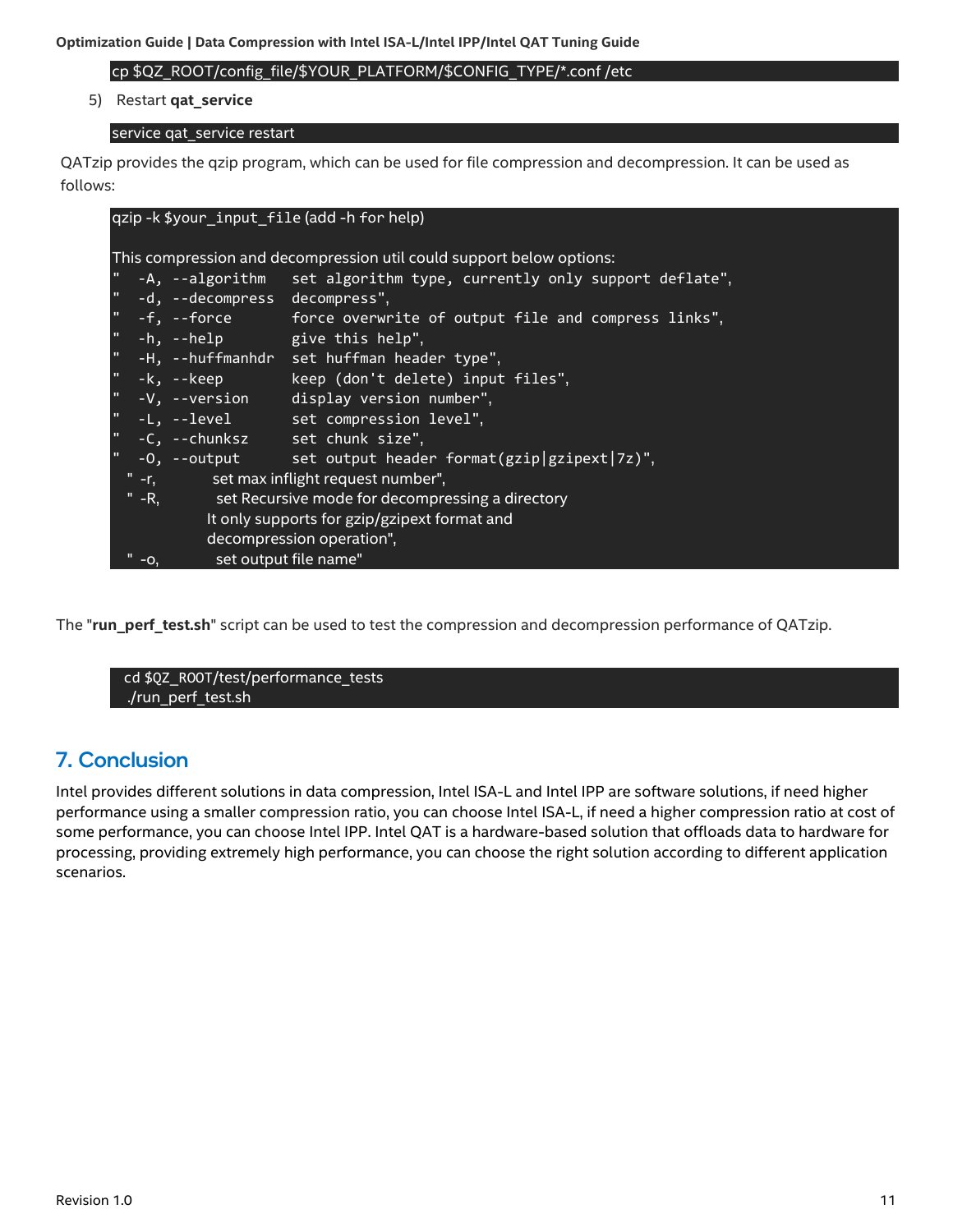cp \$QZ\_ROOT/config\_file/\$YOUR\_PLATFORM/\$CONFIG\_TYPE/\*.conf /etc

5) Restart **qat\_service**

#### service qat\_service restart

QATzip provides the qzip program, which can be used for file compression and decompression. It can be used as follows:

| qzip-k \$your_input_file (add-h for help)                            |                                                        |                                 |                                                                        |  |
|----------------------------------------------------------------------|--------------------------------------------------------|---------------------------------|------------------------------------------------------------------------|--|
| This compression and decompression util could support below options: |                                                        |                                 |                                                                        |  |
|                                                                      |                                                        |                                 | " -A, --algorithm set algorithm type, currently only support deflate", |  |
|                                                                      |                                                        | " -d, --decompress decompress", |                                                                        |  |
|                                                                      |                                                        |                                 | $" -f, -f$ orce force overwrite of output file and compress links",    |  |
|                                                                      |                                                        |                                 | " -h, --help give this help",                                          |  |
|                                                                      |                                                        |                                 | " -H, --huffmanhdr set huffman header type",                           |  |
|                                                                      |                                                        |                                 | " -k, --keep keep (don't delete) input files",                         |  |
|                                                                      |                                                        |                                 | " -V, --version display version number",                               |  |
|                                                                      |                                                        |                                 | " -L, --level set compression level",                                  |  |
|                                                                      |                                                        |                                 | " -C, --chunksz set chunk size",                                       |  |
| $\mathbf{u}_\perp$                                                   |                                                        |                                 | $-0$ , $-$ output set output header format(gzip gzipext 7z)",          |  |
|                                                                      | "-r, set max inflight request number",                 |                                 |                                                                        |  |
|                                                                      | " -R, set Recursive mode for decompressing a directory |                                 |                                                                        |  |
|                                                                      | It only supports for gzip/gzipext format and           |                                 |                                                                        |  |
|                                                                      | decompression operation",                              |                                 |                                                                        |  |
|                                                                      | $-O$                                                   |                                 | set output file name"                                                  |  |

The "**run\_perf\_test.sh**" script can be used to test the compression and decompression performance of QATzip.

cd \$QZ\_ROOT/test/performance\_tests ./run\_perf\_test.sh

## <span id="page-10-0"></span>7. Conclusion

Intel provides different solutions in data compression, Intel ISA-L and Intel IPP are software solutions, if need higher performance using a smaller compression ratio, you can choose Intel ISA-L, if need a higher compression ratio at cost of some performance, you can choose Intel IPP. Intel QAT is a hardware-based solution that offloads data to hardware for processing, providing extremely high performance, you can choose the right solution according to different application scenarios.